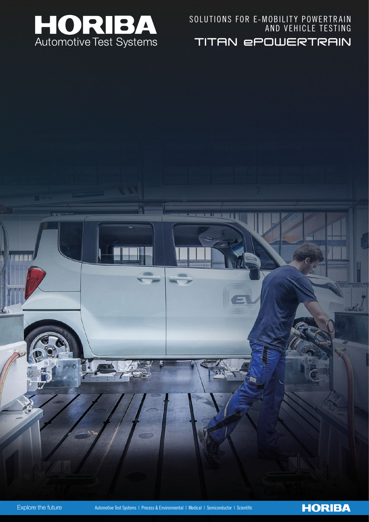

TITAN ePOWERTRAIN SOLUTIONS FOR E-MOBILITY POWERTRAIN AND VEHICLE TESTING



m

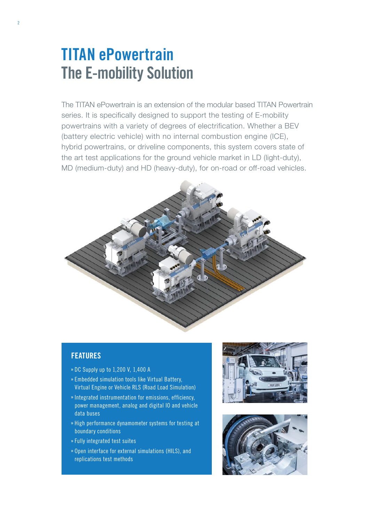## **TITAN ePowertrain The E-mobility Solution**

The TITAN ePowertrain is an extension of the modular based TITAN Powertrain series. It is specifically designed to support the testing of E-mobility powertrains with a variety of degrees of electrification. Whether a BEV (battery electric vehicle) with no internal combustion engine (ICE), hybrid powertrains, or driveline components, this system covers state of the art test applications for the ground vehicle market in LD (light-duty), MD (medium-duty) and HD (heavy-duty), for on-road or off-road vehicles.



### **FEATURES**

- » DC Supply up to 1,200 V, 1,400 A
- Embedded simulation tools like Virtual Battery, Virtual Engine or Vehicle RLS (Road Load Simulation)
- » Integrated instrumentation for emissions, efficiency, power management, analog and digital IO and vehicle data buses
- » High performance dynamometer systems for testing at boundary conditions
- Fully integrated test suites
- Open interface for external simulations (HILS), and replications test methods



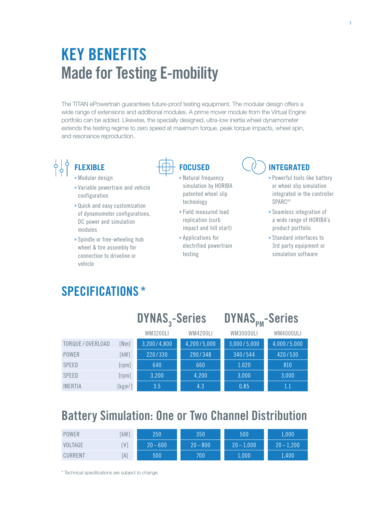# **KEY BENEFITS Made for Testing E-mobility**

The TITAN ePowertrain guarantees future-proof testing equipment. The modular design offers a wide range of extensions and additional modules. A prime mover module from the Virtual Engine portfolio can be added. Likewise, the specially designed, ultra-low inertia wheel dynamometer extends the testing regime to zero speed at maximum torque, peak torque impacts, wheel spin, and resonance reproduction.

### $\frac{1}{6}$ **FLEXIBLE** Modular design

- 
- Variable powertrain and vehicle configuration
- Quick and easy customization of dynamometer configurations, DC power and simulation modules
- » Spindle or free-wheeling hub wheel & tire assembly for connection to driveline or vehicle

**SPECIFICATIONS \***



- » Natural frequency simulation by HORIBA patented wheel slip technology
- Field measured load replication (curb impact and hill start)
- Applications for electrified powertrain testing

### **INTEGRATED**

- Powerful tools like battery or wheel slip simulation integrated in the controller **SPARC<sup>PT</sup>**
- » Seamless integration of a wide range of HORIBA's product portfolio
- Standard interfaces to 3rd party equipment or simulation software

|                   |             | <b>DYNAS</b> <sub>2</sub> -Series |                 | DYNAS <sub>PM</sub> -Series |             |
|-------------------|-------------|-----------------------------------|-----------------|-----------------------------|-------------|
|                   |             | WM3200LI                          | <b>WM4200LI</b> | WM3000ULI                   | WM4000ULI   |
| TORQUE / OVERLOAD | [Nm]        | 3,200/4,800                       | 4,200/5,000     | 3,000/5,000                 | 4,000/5,000 |
| POWER             | [kW]        | 220/330                           | 290/348         | 340/544                     | 420/530     |
| <b>SPEED</b>      | $[$ rpm $]$ | 640                               | 660             | 1.020                       | 810         |
| <b>SPEED</b>      | [rpm]       | 3,200                             | 4,200           | 3,000                       | 3,000       |
| <b>INERTIA</b>    | [ $kgm2$ ]  | 3.5                               | 4.3             | 0.85                        | 1.1         |

## **Battery Simulation: One or Two Channel Distribution**

| POWER   | kW] | 250        | 350        | 500          | 1,000        |
|---------|-----|------------|------------|--------------|--------------|
| VOLTAGE | .V. | $20 - 600$ | $20 - 800$ | $20 - 1,000$ | $20 - 1,200$ |
| CURRENT | [A] | 500        | 700        | $1,000\,$    | 1,400        |

\* Technical specifications are subject to change.